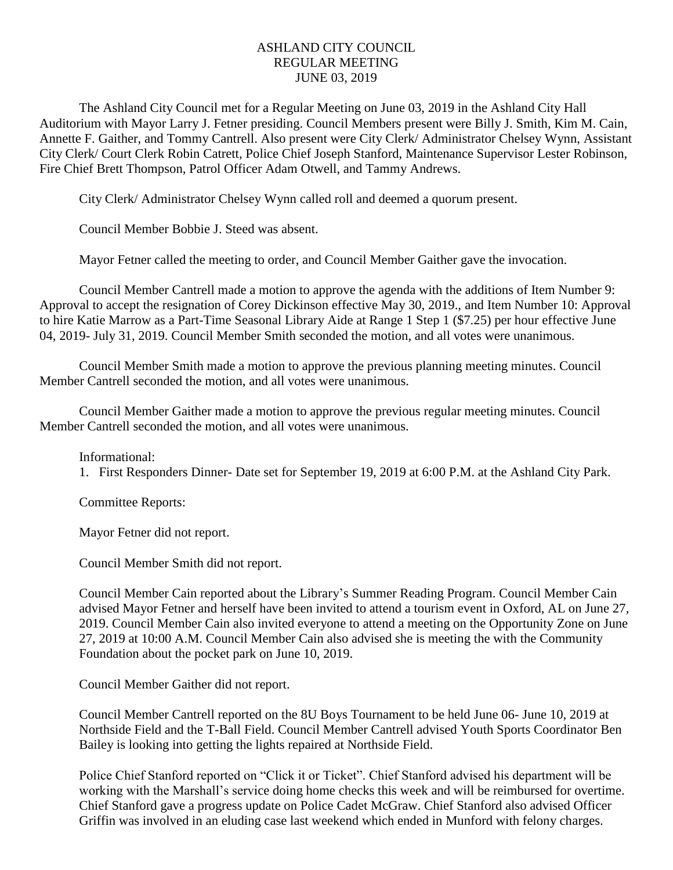## ASHLAND CITY COUNCIL REGULAR MEETING JUNE 03, 2019

The Ashland City Council met for a Regular Meeting on June 03, 2019 in the Ashland City Hall Auditorium with Mayor Larry J. Fetner presiding. Council Members present were Billy J. Smith, Kim M. Cain, Annette F. Gaither, and Tommy Cantrell. Also present were City Clerk/ Administrator Chelsey Wynn, Assistant City Clerk/ Court Clerk Robin Catrett, Police Chief Joseph Stanford, Maintenance Supervisor Lester Robinson, Fire Chief Brett Thompson, Patrol Officer Adam Otwell, and Tammy Andrews.

City Clerk/ Administrator Chelsey Wynn called roll and deemed a quorum present.

Council Member Bobbie J. Steed was absent.

Mayor Fetner called the meeting to order, and Council Member Gaither gave the invocation.

Council Member Cantrell made a motion to approve the agenda with the additions of Item Number 9: Approval to accept the resignation of Corey Dickinson effective May 30, 2019., and Item Number 10: Approval to hire Katie Marrow as a Part-Time Seasonal Library Aide at Range 1 Step 1 (\$7.25) per hour effective June 04, 2019- July 31, 2019. Council Member Smith seconded the motion, and all votes were unanimous.

Council Member Smith made a motion to approve the previous planning meeting minutes. Council Member Cantrell seconded the motion, and all votes were unanimous.

Council Member Gaither made a motion to approve the previous regular meeting minutes. Council Member Cantrell seconded the motion, and all votes were unanimous.

## Informational:

1. First Responders Dinner- Date set for September 19, 2019 at 6:00 P.M. at the Ashland City Park.

Committee Reports:

Mayor Fetner did not report.

Council Member Smith did not report.

Council Member Cain reported about the Library's Summer Reading Program. Council Member Cain advised Mayor Fetner and herself have been invited to attend a tourism event in Oxford, AL on June 27, 2019. Council Member Cain also invited everyone to attend a meeting on the Opportunity Zone on June 27, 2019 at 10:00 A.M. Council Member Cain also advised she is meeting the with the Community Foundation about the pocket park on June 10, 2019.

Council Member Gaither did not report.

Council Member Cantrell reported on the 8U Boys Tournament to be held June 06- June 10, 2019 at Northside Field and the T-Ball Field. Council Member Cantrell advised Youth Sports Coordinator Ben Bailey is looking into getting the lights repaired at Northside Field.

Police Chief Stanford reported on "Click it or Ticket". Chief Stanford advised his department will be working with the Marshall's service doing home checks this week and will be reimbursed for overtime. Chief Stanford gave a progress update on Police Cadet McGraw. Chief Stanford also advised Officer Griffin was involved in an eluding case last weekend which ended in Munford with felony charges.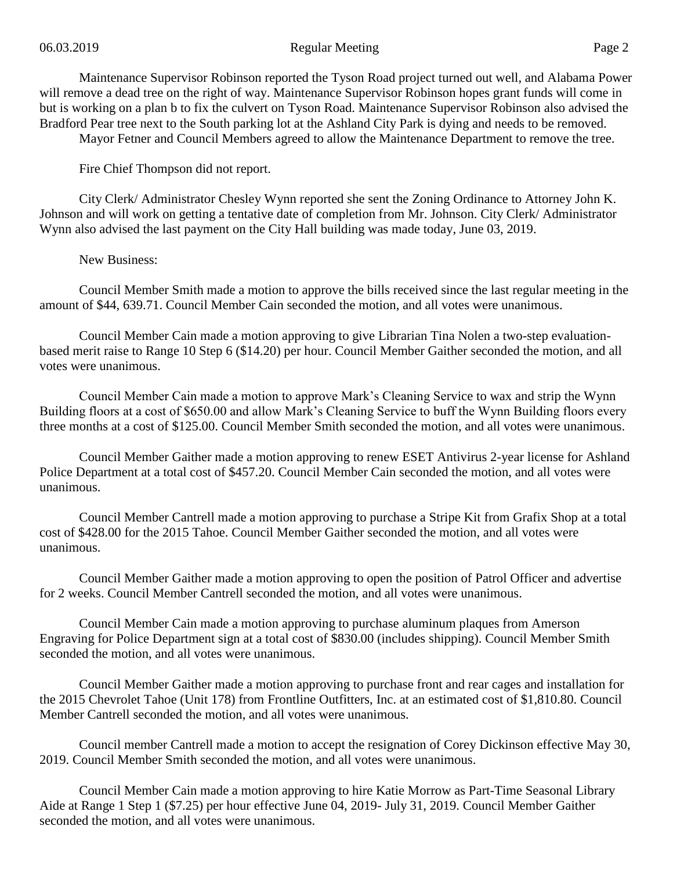## 06.03.2019 Regular Meeting Page 2

Maintenance Supervisor Robinson reported the Tyson Road project turned out well, and Alabama Power will remove a dead tree on the right of way. Maintenance Supervisor Robinson hopes grant funds will come in but is working on a plan b to fix the culvert on Tyson Road. Maintenance Supervisor Robinson also advised the Bradford Pear tree next to the South parking lot at the Ashland City Park is dying and needs to be removed. Mayor Fetner and Council Members agreed to allow the Maintenance Department to remove the tree.

Fire Chief Thompson did not report.

City Clerk/ Administrator Chesley Wynn reported she sent the Zoning Ordinance to Attorney John K. Johnson and will work on getting a tentative date of completion from Mr. Johnson. City Clerk/ Administrator Wynn also advised the last payment on the City Hall building was made today, June 03, 2019.

New Business:

Council Member Smith made a motion to approve the bills received since the last regular meeting in the amount of \$44, 639.71. Council Member Cain seconded the motion, and all votes were unanimous.

Council Member Cain made a motion approving to give Librarian Tina Nolen a two-step evaluationbased merit raise to Range 10 Step 6 (\$14.20) per hour. Council Member Gaither seconded the motion, and all votes were unanimous.

Council Member Cain made a motion to approve Mark's Cleaning Service to wax and strip the Wynn Building floors at a cost of \$650.00 and allow Mark's Cleaning Service to buff the Wynn Building floors every three months at a cost of \$125.00. Council Member Smith seconded the motion, and all votes were unanimous.

Council Member Gaither made a motion approving to renew ESET Antivirus 2-year license for Ashland Police Department at a total cost of \$457.20. Council Member Cain seconded the motion, and all votes were unanimous.

Council Member Cantrell made a motion approving to purchase a Stripe Kit from Grafix Shop at a total cost of \$428.00 for the 2015 Tahoe. Council Member Gaither seconded the motion, and all votes were unanimous.

Council Member Gaither made a motion approving to open the position of Patrol Officer and advertise for 2 weeks. Council Member Cantrell seconded the motion, and all votes were unanimous.

Council Member Cain made a motion approving to purchase aluminum plaques from Amerson Engraving for Police Department sign at a total cost of \$830.00 (includes shipping). Council Member Smith seconded the motion, and all votes were unanimous.

Council Member Gaither made a motion approving to purchase front and rear cages and installation for the 2015 Chevrolet Tahoe (Unit 178) from Frontline Outfitters, Inc. at an estimated cost of \$1,810.80. Council Member Cantrell seconded the motion, and all votes were unanimous.

Council member Cantrell made a motion to accept the resignation of Corey Dickinson effective May 30, 2019. Council Member Smith seconded the motion, and all votes were unanimous.

Council Member Cain made a motion approving to hire Katie Morrow as Part-Time Seasonal Library Aide at Range 1 Step 1 (\$7.25) per hour effective June 04, 2019- July 31, 2019. Council Member Gaither seconded the motion, and all votes were unanimous.